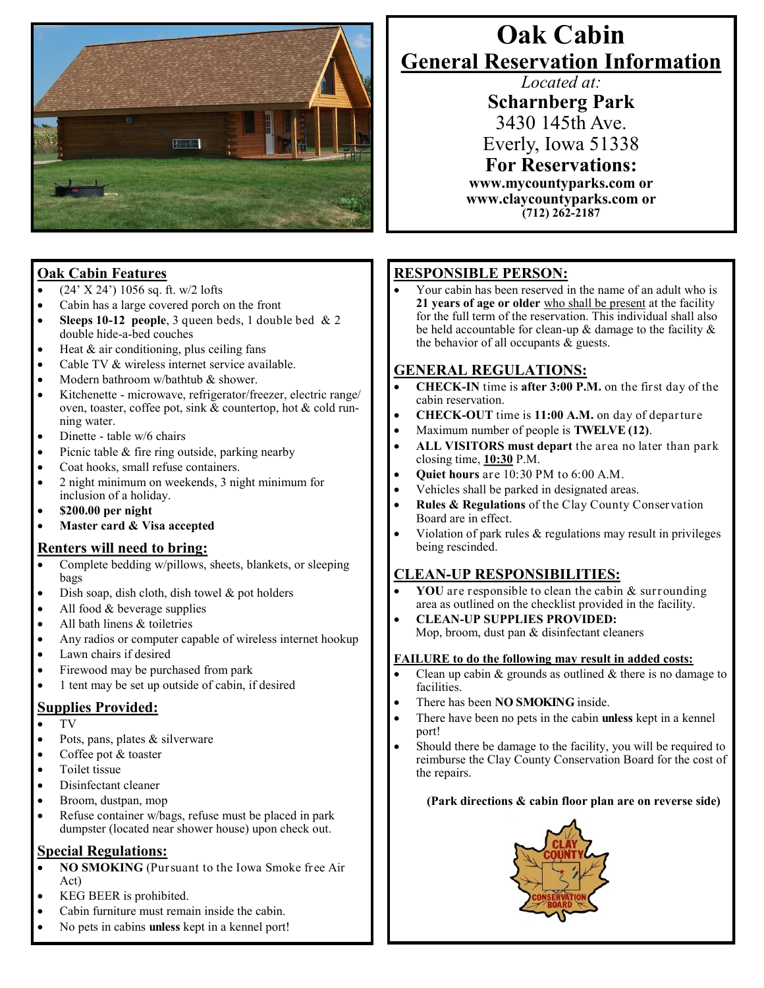

## **Oak Cabin Features**

- (24' X 24') 1056 sq. ft. w/2 lofts
- Cabin has a large covered porch on the front
- **Sleeps 10-12 people**, 3 queen beds, 1 double bed & 2 double hide-a-bed couches
- $\bullet$  Heat & air conditioning, plus ceiling fans
- Cable TV & wireless internet service available.
- Modern bathroom w/bathtub & shower.
- Kitchenette microwave, refrigerator/freezer, electric range/ oven, toaster, coffee pot, sink & countertop, hot & cold running water.
- Dinette table w/6 chairs
- $\bullet$  Picnic table & fire ring outside, parking nearby
- Coat hooks, small refuse containers.
- 2 night minimum on weekends, 3 night minimum for inclusion of a holiday.
- **\$200.00 per night**
- **Master card & Visa accepted**

#### **Renters will need to bring:**

- Complete bedding w/pillows, sheets, blankets, or sleeping bags
- $\bullet$  Dish soap, dish cloth, dish towel & pot holders
- All food & beverage supplies
- All bath linens & toiletries
- Any radios or computer capable of wireless internet hookup
- Lawn chairs if desired
- Firewood may be purchased from park
- 1 tent may be set up outside of cabin, if desired

### **Supplies Provided:**

- TV
- Pots, pans, plates & silverware
- Coffee pot & toaster
- Toilet tissue
- Disinfectant cleaner
- Broom, dustpan, mop
- Refuse container w/bags, refuse must be placed in park dumpster (located near shower house) upon check out.

#### **Special Regulations:**

- **NO SMOKING** (Pursuant to the Iowa Smoke free Air Act)
- KEG BEER is prohibited.
- Cabin furniture must remain inside the cabin.
- No pets in cabins **unless** kept in a kennel port!

# **Oak Cabin General Reservation Information**

*Located at:*

**Scharnberg Park** 3430 145th Ave. Everly, Iowa 51338 **For Reservations:**

**www.mycountyparks.com or www.claycountyparks.com or (712) 262-2187** 

## **RESPONSIBLE PERSON:**

 Your cabin has been reserved in the name of an adult who is **21 years of age or older** who shall be present at the facility for the full term of the reservation. This individual shall also be held accountable for clean-up & damage to the facility & the behavior of all occupants  $\&$  guests.

#### **GENERAL REGULATIONS:**

- **CHECK-IN** time is **after 3:00 P.M.** on the first day of the cabin reservation.
- **CHECK-OUT** time is **11:00 A.M.** on day of departure
- Maximum number of people is **TWELVE (12)**.
- **ALL VISITORS must depart** the area no later than park closing time, **10:30** P.M.
- **Quiet hours** are 10:30 PM to 6:00 A.M.
- Vehicles shall be parked in designated areas.
- **Rules & Regulations** of the Clay County Conservation Board are in effect.
- Violation of park rules & regulations may result in privileges being rescinded.

### **CLEAN-UP RESPONSIBILITIES:**

- **YOU** are responsible to clean the cabin & surrounding area as outlined on the checklist provided in the facility.
- **CLEAN-UP SUPPLIES PROVIDED:** Mop, broom, dust pan & disinfectant cleaners

#### **FAILURE to do the following may result in added costs:**

- Clean up cabin  $\&$  grounds as outlined  $\&$  there is no damage to facilities.
- There has been **NO SMOKING** inside.
- There have been no pets in the cabin **unless** kept in a kennel port!
- Should there be damage to the facility, you will be required to reimburse the Clay County Conservation Board for the cost of the repairs.

#### **(Park directions & cabin floor plan are on reverse side)**